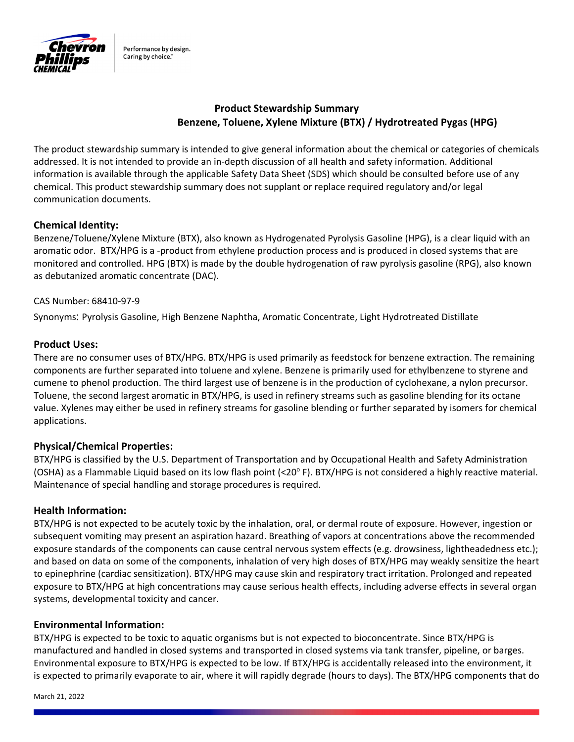

Performance by design. Caring by choice."

# **Product Stewardship Summary Benzene, Toluene, Xylene Mixture (BTX) / Hydrotreated Pygas (HPG)**

The product stewardship summary is intended to give general information about the chemical or categories of chemicals addressed. It is not intended to provide an in‐depth discussion of all health and safety information. Additional information is available through the applicable Safety Data Sheet (SDS) which should be consulted before use of any chemical. This product stewardship summary does not supplant or replace required regulatory and/or legal communication documents.

## **Chemical Identity:**

Benzene/Toluene/Xylene Mixture (BTX), also known as Hydrogenated Pyrolysis Gasoline (HPG), is a clear liquid with an aromatic odor. BTX/HPG is a ‐product from ethylene production process and is produced in closed systems that are monitored and controlled. HPG (BTX) is made by the double hydrogenation of raw pyrolysis gasoline (RPG), also known as debutanized aromatic concentrate (DAC).

## CAS Number: 68410‐97‐9

Synonyms: Pyrolysis Gasoline, High Benzene Naphtha, Aromatic Concentrate, Light Hydrotreated Distillate

## **Product Uses:**

There are no consumer uses of BTX/HPG. BTX/HPG is used primarily as feedstock for benzene extraction. The remaining components are further separated into toluene and xylene. Benzene is primarily used for ethylbenzene to styrene and cumene to phenol production. The third largest use of benzene is in the production of cyclohexane, a nylon precursor. Toluene, the second largest aromatic in BTX/HPG, is used in refinery streams such as gasoline blending for its octane value. Xylenes may either be used in refinery streams for gasoline blending or further separated by isomers for chemical applications.

## **Physical/Chemical Properties:**

BTX/HPG is classified by the U.S. Department of Transportation and by Occupational Health and Safety Administration (OSHA) as a Flammable Liquid based on its low flash point  $\langle$ <20°F). BTX/HPG is not considered a highly reactive material. Maintenance of special handling and storage procedures is required.

### **Health Information:**

BTX/HPG is not expected to be acutely toxic by the inhalation, oral, or dermal route of exposure. However, ingestion or subsequent vomiting may present an aspiration hazard. Breathing of vapors at concentrations above the recommended exposure standards of the components can cause central nervous system effects (e.g. drowsiness, lightheadedness etc.); and based on data on some of the components, inhalation of very high doses of BTX/HPG may weakly sensitize the heart to epinephrine (cardiac sensitization). BTX/HPG may cause skin and respiratory tract irritation. Prolonged and repeated exposure to BTX/HPG at high concentrations may cause serious health effects, including adverse effects in several organ systems, developmental toxicity and cancer.

### **Environmental Information:**

BTX/HPG is expected to be toxic to aquatic organisms but is not expected to bioconcentrate. Since BTX/HPG is manufactured and handled in closed systems and transported in closed systems via tank transfer, pipeline, or barges. Environmental exposure to BTX/HPG is expected to be low. If BTX/HPG is accidentally released into the environment, it is expected to primarily evaporate to air, where it will rapidly degrade (hours to days). The BTX/HPG components that do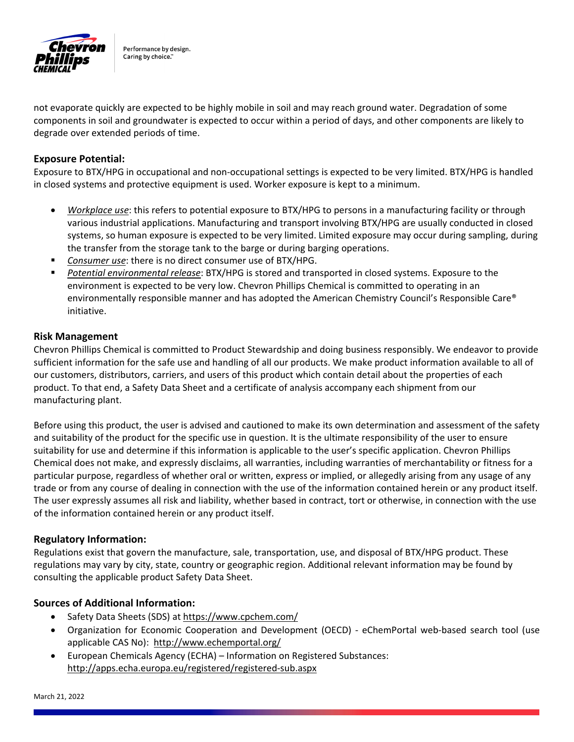

Performance by design. Caring by choice."

not evaporate quickly are expected to be highly mobile in soil and may reach ground water. Degradation of some components in soil and groundwater is expected to occur within a period of days, and other components are likely to degrade over extended periods of time.

## **Exposure Potential:**

Exposure to BTX/HPG in occupational and non‐occupational settings is expected to be very limited. BTX/HPG is handled in closed systems and protective equipment is used. Worker exposure is kept to a minimum.

- *Workplace use*: this refers to potential exposure to BTX/HPG to persons in a manufacturing facility or through various industrial applications. Manufacturing and transport involving BTX/HPG are usually conducted in closed systems, so human exposure is expected to be very limited. Limited exposure may occur during sampling, during the transfer from the storage tank to the barge or during barging operations.
- *Consumer use*: there is no direct consumer use of BTX/HPG.
- *Potential environmental release*: BTX/HPG is stored and transported in closed systems. Exposure to the environment is expected to be very low. Chevron Phillips Chemical is committed to operating in an environmentally responsible manner and has adopted the American Chemistry Council's Responsible Care® initiative.

### **Risk Management**

Chevron Phillips Chemical is committed to Product Stewardship and doing business responsibly. We endeavor to provide sufficient information for the safe use and handling of all our products. We make product information available to all of our customers, distributors, carriers, and users of this product which contain detail about the properties of each product. To that end, a Safety Data Sheet and a certificate of analysis accompany each shipment from our manufacturing plant.

Before using this product, the user is advised and cautioned to make its own determination and assessment of the safety and suitability of the product for the specific use in question. It is the ultimate responsibility of the user to ensure suitability for use and determine if this information is applicable to the user's specific application. Chevron Phillips Chemical does not make, and expressly disclaims, all warranties, including warranties of merchantability or fitness for a particular purpose, regardless of whether oral or written, express or implied, or allegedly arising from any usage of any trade or from any course of dealing in connection with the use of the information contained herein or any product itself. The user expressly assumes all risk and liability, whether based in contract, tort or otherwise, in connection with the use of the information contained herein or any product itself.

### **Regulatory Information:**

Regulations exist that govern the manufacture, sale, transportation, use, and disposal of BTX/HPG product. These regulations may vary by city, state, country or geographic region. Additional relevant information may be found by consulting the applicable product Safety Data Sheet.

## **Sources of Additional Information:**

- Safety Data Sheets (SDS) at https://www.cpchem.com/
- Organization for Economic Cooperation and Development (OECD) eChemPortal web-based search tool (use applicable CAS No): http://www.echemportal.org/
- European Chemicals Agency (ECHA) Information on Registered Substances: http://apps.echa.europa.eu/registered/registered‐sub.aspx